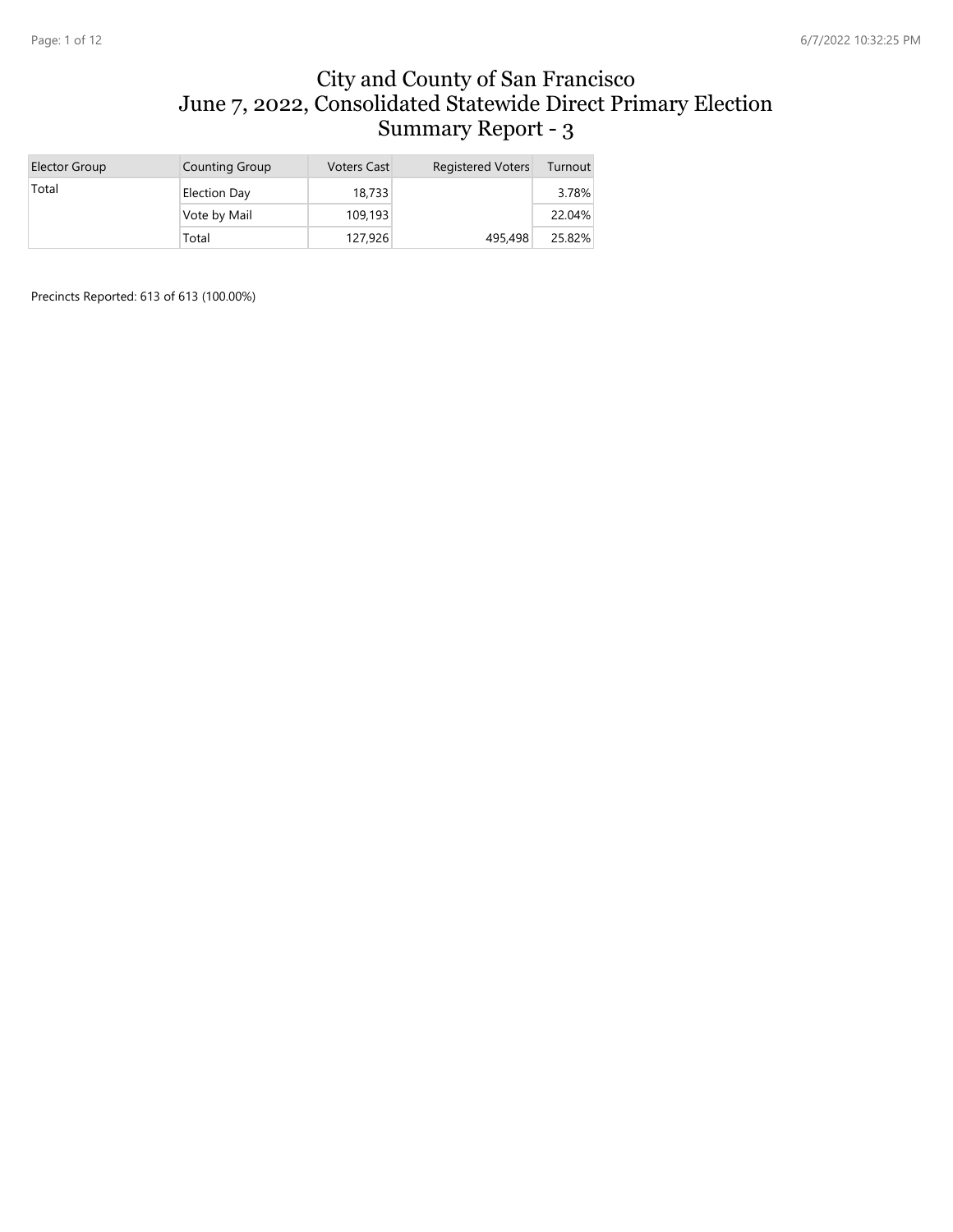#### City and County of San Francisco June 7, 2022, Consolidated Statewide Direct Primary Election Summary Report - 3

| Elector Group | <b>Counting Group</b> | <b>Voters Cast</b> | <b>Registered Voters</b> | Turnout |
|---------------|-----------------------|--------------------|--------------------------|---------|
| Total         | <b>Election Day</b>   | 18,733             |                          | 3.78%   |
|               | Vote by Mail          | 109,193            |                          | 22.04%  |
|               | Total                 | 127,926            | 495,498                  | 25.82%  |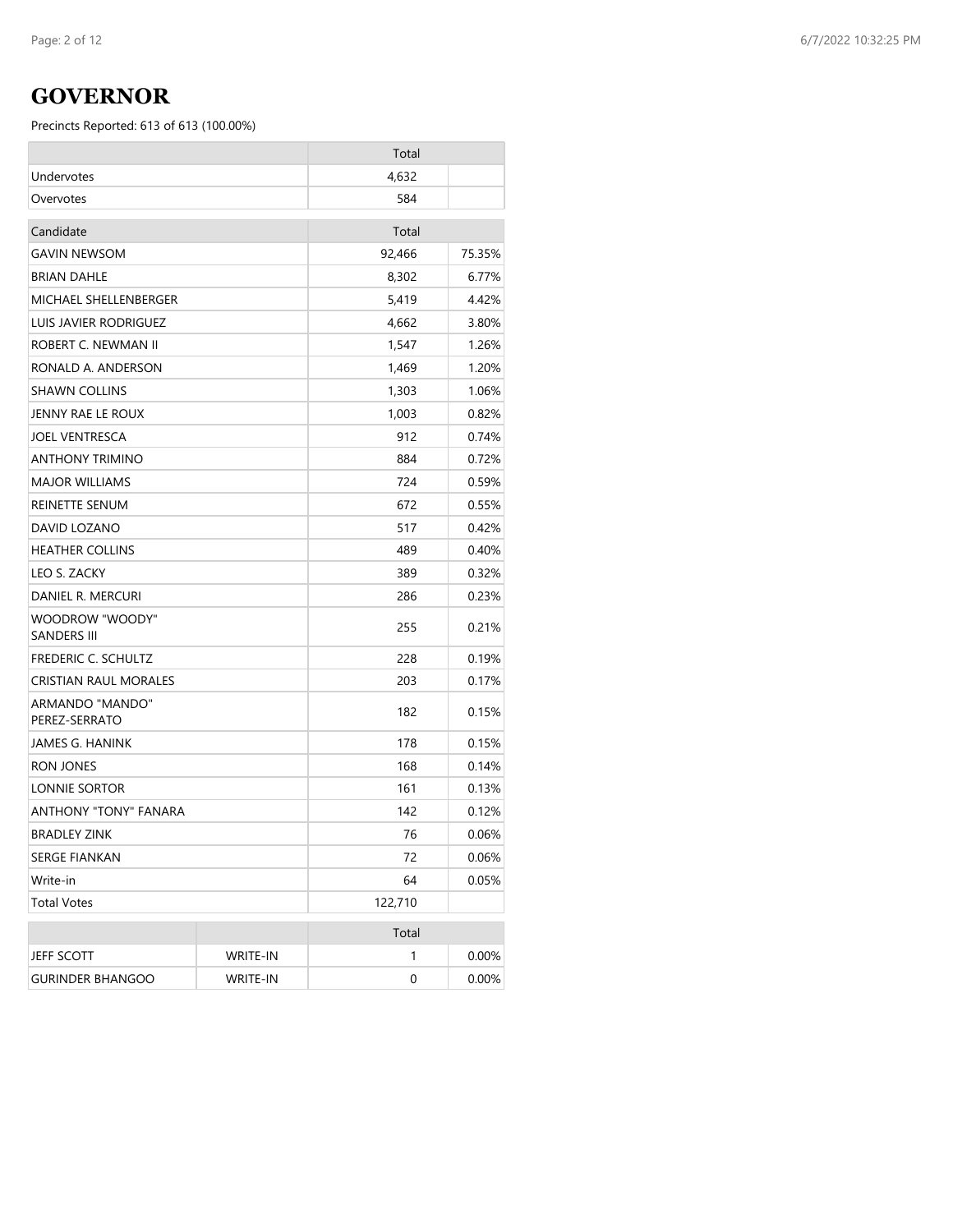### **GOVERNOR**

|                                       |                 | Total   |        |
|---------------------------------------|-----------------|---------|--------|
| Undervotes                            |                 | 4,632   |        |
| Overvotes                             |                 | 584     |        |
| Candidate                             |                 | Total   |        |
| <b>GAVIN NEWSOM</b>                   |                 | 92,466  | 75.35% |
| <b>BRIAN DAHLE</b>                    |                 | 8,302   | 6.77%  |
| MICHAEL SHELLENBERGER                 |                 | 5,419   | 4.42%  |
| LUIS JAVIER RODRIGUEZ                 |                 | 4,662   | 3.80%  |
| ROBERT C. NEWMAN II                   |                 | 1,547   | 1.26%  |
| RONALD A. ANDERSON                    |                 | 1,469   | 1.20%  |
| <b>SHAWN COLLINS</b>                  |                 | 1,303   | 1.06%  |
| JENNY RAE LE ROUX                     |                 | 1,003   | 0.82%  |
| <b>JOEL VENTRESCA</b>                 |                 | 912     | 0.74%  |
| <b>ANTHONY TRIMINO</b>                |                 | 884     | 0.72%  |
| <b>MAJOR WILLIAMS</b>                 |                 | 724     | 0.59%  |
| REINETTE SENUM                        |                 | 672     | 0.55%  |
| DAVID LOZANO                          |                 | 517     | 0.42%  |
| <b>HEATHER COLLINS</b>                |                 | 489     | 0.40%  |
| LEO S. ZACKY                          |                 | 389     | 0.32%  |
| DANIEL R. MERCURI                     |                 | 286     | 0.23%  |
| WOODROW "WOODY"<br><b>SANDERS III</b> |                 | 255     | 0.21%  |
| FREDERIC C. SCHULTZ                   |                 | 228     | 0.19%  |
| CRISTIAN RAUL MORALES                 |                 | 203     | 0.17%  |
| ARMANDO "MANDO"<br>PEREZ-SERRATO      |                 | 182     | 0.15%  |
| JAMES G. HANINK                       |                 | 178     | 0.15%  |
| RON JONES                             |                 | 168     | 0.14%  |
| LONNIE SORTOR                         |                 | 161     | 0.13%  |
| <b>ANTHONY "TONY" FANARA</b>          |                 | 142     | 0.12%  |
| <b>BRADLEY ZINK</b>                   |                 | 76      | 0.06%  |
| SERGE FIANKAN                         |                 | 72      | 0.06%  |
| Write-in                              |                 | 64      | 0.05%  |
| <b>Total Votes</b>                    |                 | 122,710 |        |
|                                       |                 | Total   |        |
| JEFF SCOTT                            | WRITE-IN        | 1       | 0.00%  |
| <b>GURINDER BHANGOO</b>               | <b>WRITE-IN</b> | 0       | 0.00%  |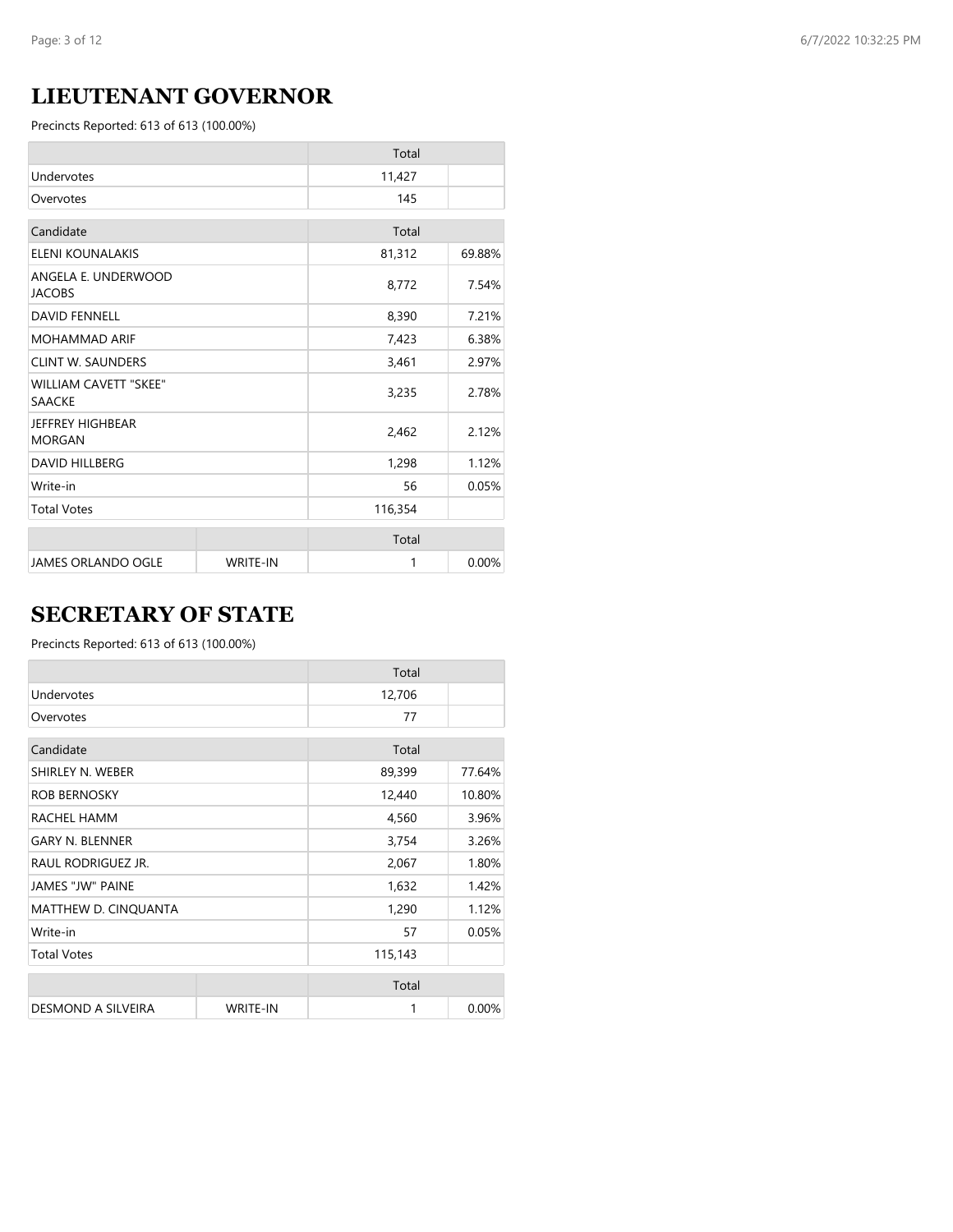# **LIEUTENANT GOVERNOR**

Precincts Reported: 613 of 613 (100.00%)

|                                               |                 | Total   |        |
|-----------------------------------------------|-----------------|---------|--------|
| Undervotes                                    |                 | 11,427  |        |
| Overvotes                                     |                 | 145     |        |
| Candidate                                     |                 | Total   |        |
| ELENI KOUNALAKIS                              |                 | 81,312  | 69.88% |
| ANGELA E. UNDERWOOD<br><b>JACOBS</b>          |                 | 8,772   | 7.54%  |
| <b>DAVID FENNELL</b>                          |                 | 8,390   | 7.21%  |
| <b>MOHAMMAD ARIF</b>                          |                 | 7,423   | 6.38%  |
| <b>CLINT W. SAUNDERS</b>                      |                 | 3,461   | 2.97%  |
| <b>WILLIAM CAVETT "SKEE"</b><br><b>SAACKE</b> |                 | 3,235   | 2.78%  |
| JEFFREY HIGHBEAR<br><b>MORGAN</b>             |                 | 2,462   | 2.12%  |
| <b>DAVID HILLBERG</b>                         |                 | 1,298   | 1.12%  |
| Write-in                                      |                 | 56      | 0.05%  |
| <b>Total Votes</b>                            |                 | 116,354 |        |
|                                               |                 | Total   |        |
| <b>JAMES ORLANDO OGLE</b>                     | <b>WRITE-IN</b> | 1       | 0.00%  |

# **SECRETARY OF STATE**

|                         |                 | Total   |        |
|-------------------------|-----------------|---------|--------|
| Undervotes              |                 | 12,706  |        |
| Overvotes               |                 | 77      |        |
| Candidate               |                 | Total   |        |
| SHIRLEY N. WEBER        |                 | 89,399  | 77.64% |
| <b>ROB BERNOSKY</b>     |                 | 12,440  | 10.80% |
| RACHEL HAMM             |                 | 4,560   | 3.96%  |
| <b>GARY N. BLENNER</b>  |                 | 3,754   | 3.26%  |
| RAUL RODRIGUEZ JR.      |                 | 2,067   | 1.80%  |
| <b>JAMES "JW" PAINE</b> |                 | 1,632   | 1.42%  |
| MATTHEW D. CINQUANTA    |                 | 1,290   | 1.12%  |
| Write-in                |                 | 57      | 0.05%  |
| <b>Total Votes</b>      |                 | 115,143 |        |
|                         |                 | Total   |        |
| DESMOND A SILVEIRA      | <b>WRITE-IN</b> | 1       | 0.00%  |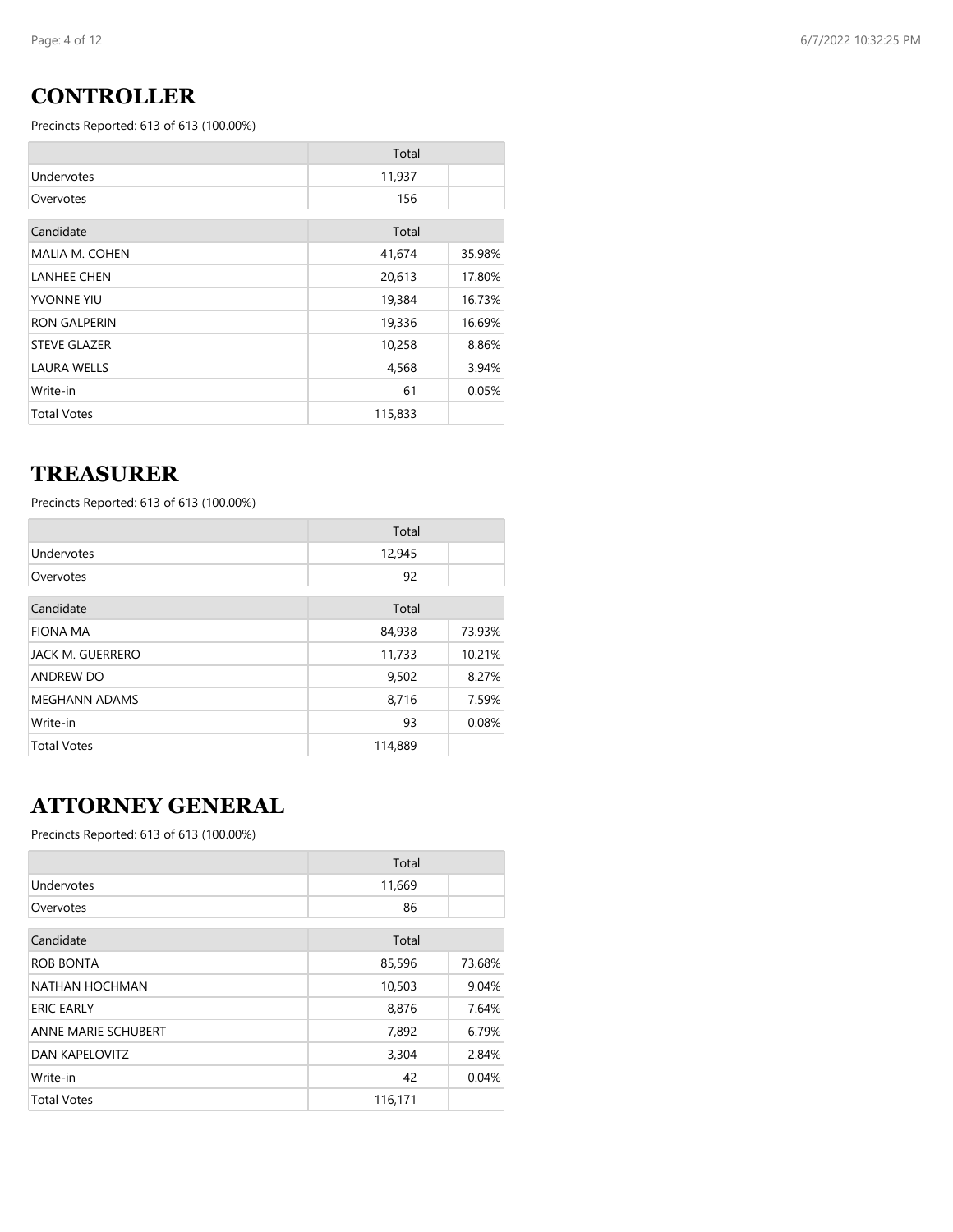### **CONTROLLER**

Precincts Reported: 613 of 613 (100.00%)

|                     | Total   |        |
|---------------------|---------|--------|
| Undervotes          | 11,937  |        |
| Overvotes           | 156     |        |
| Candidate           | Total   |        |
| MALIA M. COHEN      | 41,674  | 35.98% |
| <b>LANHEE CHEN</b>  | 20,613  | 17.80% |
| YVONNE YIU          | 19,384  | 16.73% |
| <b>RON GALPERIN</b> | 19,336  | 16.69% |
| <b>STEVE GLAZER</b> | 10,258  | 8.86%  |
| <b>LAURA WELLS</b>  | 4,568   | 3.94%  |
| Write-in            | 61      | 0.05%  |
| <b>Total Votes</b>  | 115,833 |        |

#### **TREASURER**

Precincts Reported: 613 of 613 (100.00%)

|                      | Total   |        |
|----------------------|---------|--------|
| Undervotes           | 12,945  |        |
| Overvotes            | 92      |        |
| Candidate            | Total   |        |
| <b>FIONA MA</b>      | 84,938  | 73.93% |
| JACK M. GUERRERO     | 11,733  | 10.21% |
| <b>ANDREW DO</b>     | 9,502   | 8.27%  |
| <b>MEGHANN ADAMS</b> | 8,716   | 7.59%  |
| Write-in             | 93      | 0.08%  |
| <b>Total Votes</b>   | 114,889 |        |

# **ATTORNEY GENERAL**

|                            | Total   |        |
|----------------------------|---------|--------|
| Undervotes                 | 11,669  |        |
| Overvotes                  | 86      |        |
| Candidate                  | Total   |        |
| <b>ROB BONTA</b>           | 85,596  | 73.68% |
| NATHAN HOCHMAN             | 10,503  | 9.04%  |
| <b>ERIC EARLY</b>          | 8,876   | 7.64%  |
| <b>ANNE MARIE SCHUBERT</b> | 7,892   | 6.79%  |
| <b>DAN KAPELOVITZ</b>      | 3,304   | 2.84%  |
| Write-in                   | 42      | 0.04%  |
| <b>Total Votes</b>         | 116,171 |        |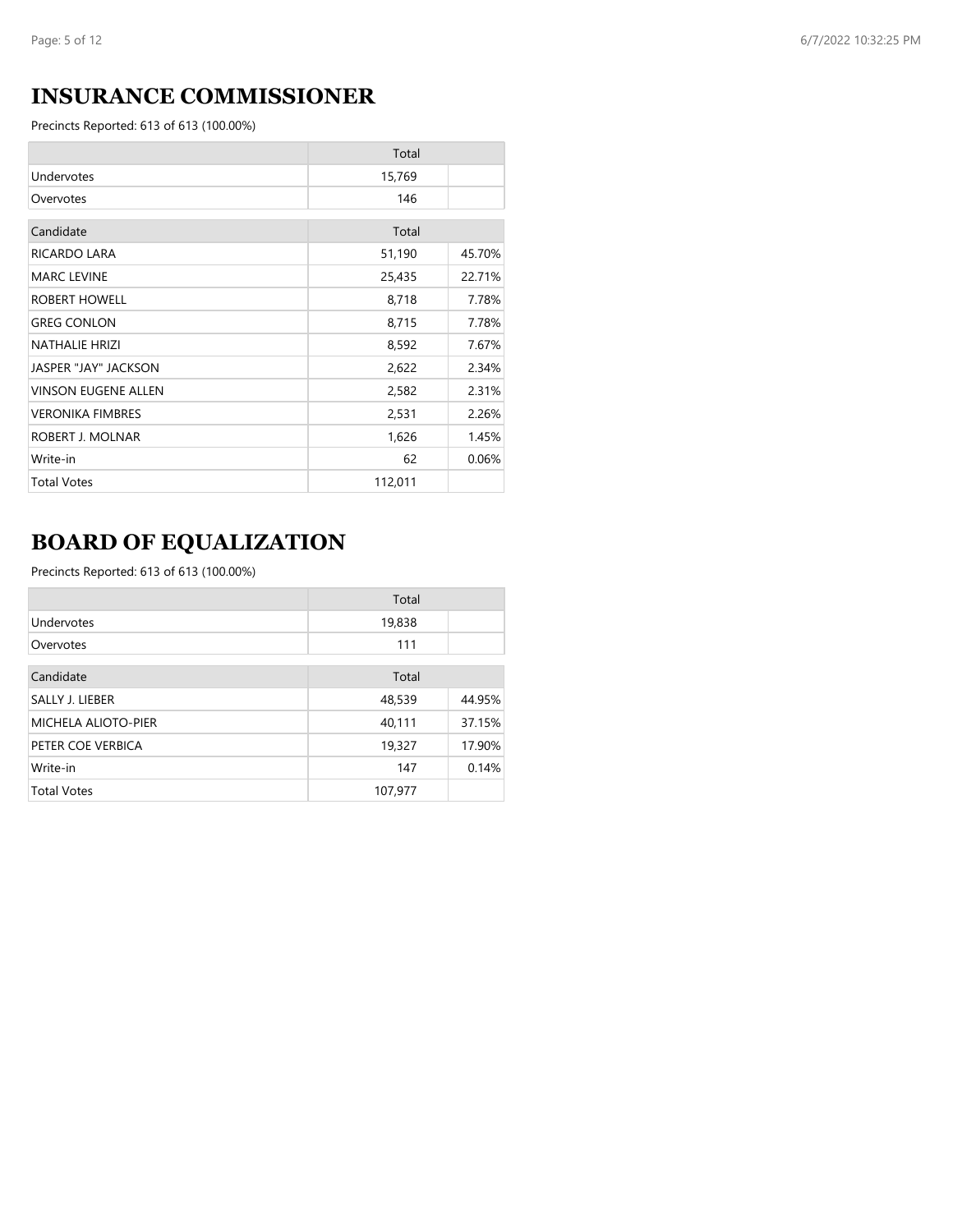# **INSURANCE COMMISSIONER**

Precincts Reported: 613 of 613 (100.00%)

|                            | Total   |        |
|----------------------------|---------|--------|
| Undervotes                 | 15,769  |        |
| Overvotes                  | 146     |        |
| Candidate                  | Total   |        |
| RICARDO LARA               | 51,190  | 45.70% |
| <b>MARC LEVINE</b>         | 25,435  | 22.71% |
| ROBERT HOWELL              | 8,718   | 7.78%  |
| <b>GREG CONLON</b>         | 8,715   | 7.78%  |
| <b>NATHALIE HRIZI</b>      | 8,592   | 7.67%  |
| JASPER "JAY" JACKSON       | 2,622   | 2.34%  |
| <b>VINSON EUGENE ALLEN</b> | 2,582   | 2.31%  |
| <b>VERONIKA FIMBRES</b>    | 2,531   | 2.26%  |
| ROBERT J. MOLNAR           | 1,626   | 1.45%  |
| Write-in                   | 62      | 0.06%  |
| <b>Total Votes</b>         | 112,011 |        |

# **BOARD OF EQUALIZATION**

|                            | Total   |        |
|----------------------------|---------|--------|
| Undervotes                 | 19,838  |        |
| Overvotes                  | 111     |        |
| Candidate                  | Total   |        |
| SALLY J. LIEBER            | 48,539  | 44.95% |
| <b>MICHELA ALIOTO-PIER</b> | 40,111  | 37.15% |
| PETER COE VERBICA          | 19,327  | 17.90% |
| Write-in                   | 147     | 0.14%  |
| <b>Total Votes</b>         | 107,977 |        |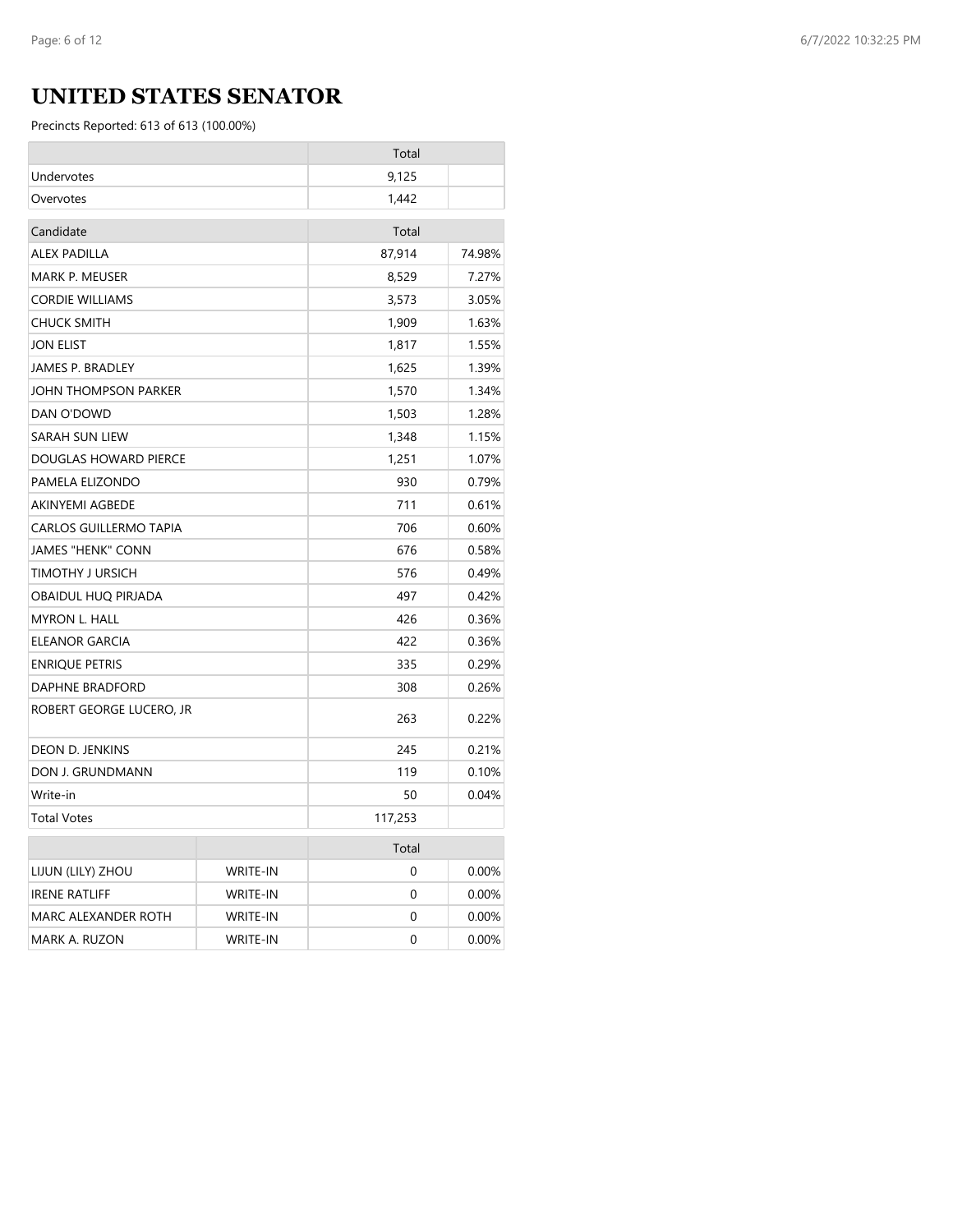# **UNITED STATES SENATOR**

|                               |                 | Total   |          |
|-------------------------------|-----------------|---------|----------|
| Undervotes                    |                 | 9,125   |          |
| Overvotes                     |                 | 1,442   |          |
| Candidate                     |                 | Total   |          |
| <b>ALEX PADILLA</b>           |                 | 87,914  | 74.98%   |
| MARK P. MEUSER                |                 | 8,529   | 7.27%    |
| <b>CORDIE WILLIAMS</b>        |                 | 3,573   | 3.05%    |
| <b>CHUCK SMITH</b>            |                 | 1,909   | 1.63%    |
| <b>JON ELIST</b>              |                 | 1,817   | 1.55%    |
| <b>JAMES P. BRADLEY</b>       |                 | 1,625   | 1.39%    |
| JOHN THOMPSON PARKER          |                 | 1,570   | 1.34%    |
| DAN O'DOWD                    |                 | 1,503   | 1.28%    |
| SARAH SUN LIEW                |                 | 1,348   | 1.15%    |
| DOUGLAS HOWARD PIERCE         |                 | 1,251   | 1.07%    |
| PAMELA ELIZONDO               |                 | 930     | 0.79%    |
| <b>AKINYEMI AGBEDE</b>        |                 | 711     | 0.61%    |
| <b>CARLOS GUILLERMO TAPIA</b> |                 | 706     | 0.60%    |
| <b>JAMES "HENK" CONN</b>      |                 | 676     | 0.58%    |
| TIMOTHY J URSICH              |                 | 576     | 0.49%    |
| OBAIDUL HUQ PIRJADA           |                 | 497     | 0.42%    |
| <b>MYRON L. HALL</b>          |                 | 426     | 0.36%    |
| ELEANOR GARCIA                |                 | 422     | 0.36%    |
| <b>ENRIQUE PETRIS</b>         |                 | 335     | 0.29%    |
| DAPHNE BRADFORD               |                 | 308     | 0.26%    |
| ROBERT GEORGE LUCERO, JR      |                 | 263     | 0.22%    |
| DEON D. JENKINS               |                 | 245     | 0.21%    |
| DON J. GRUNDMANN              |                 | 119     | 0.10%    |
| Write-in                      |                 | 50      | 0.04%    |
| <b>Total Votes</b>            |                 | 117,253 |          |
|                               |                 | Total   |          |
| LIJUN (LILY) ZHOU             | <b>WRITE-IN</b> | 0       | 0.00%    |
| <b>IRENE RATLIFF</b>          | <b>WRITE-IN</b> | 0       | 0.00%    |
| MARC ALEXANDER ROTH           | WRITE-IN        | 0       | $0.00\%$ |
| MARK A. RUZON                 | <b>WRITE-IN</b> | 0       | 0.00%    |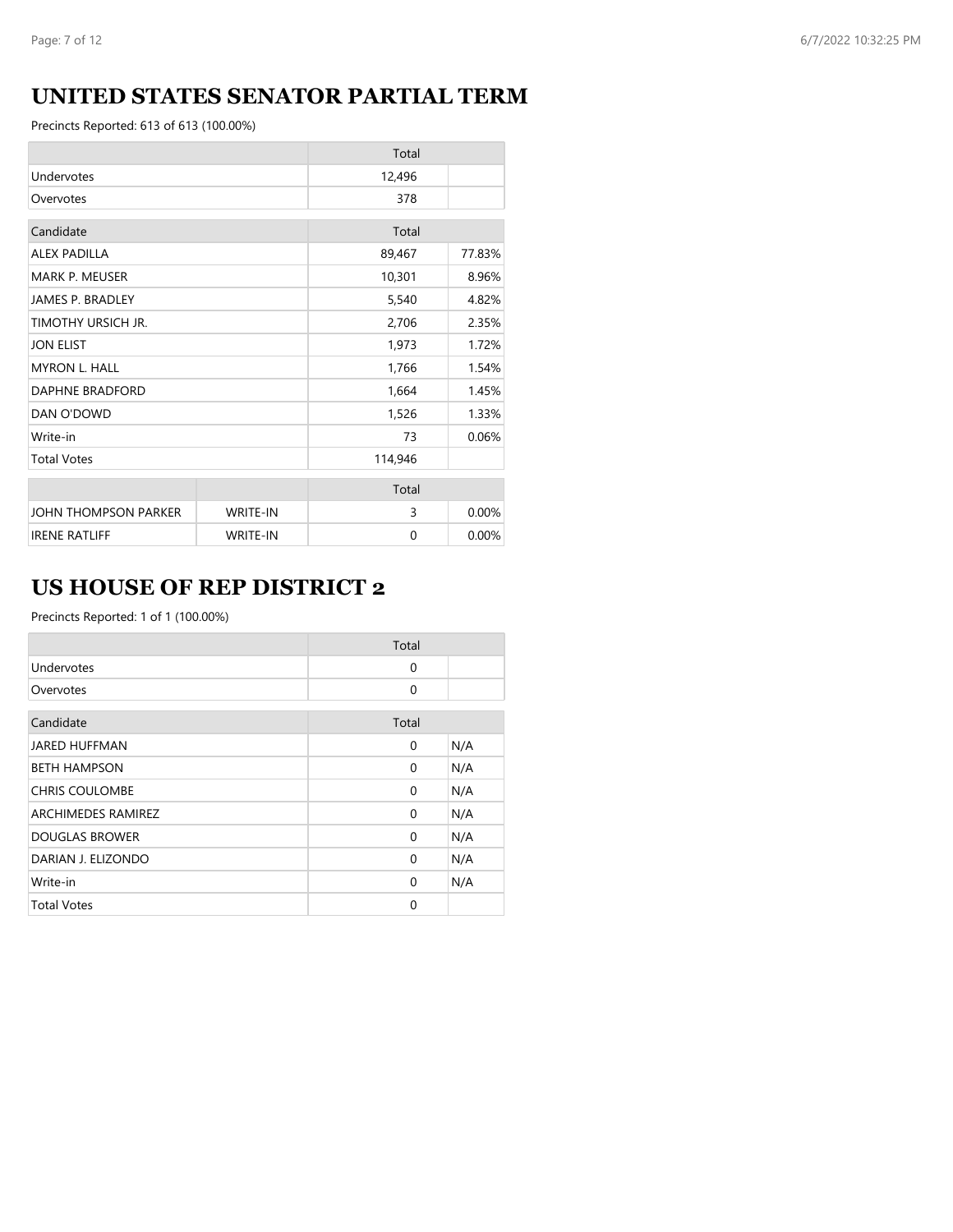# **UNITED STATES SENATOR PARTIAL TERM**

Precincts Reported: 613 of 613 (100.00%)

|                         |                 | Total    |        |
|-------------------------|-----------------|----------|--------|
| Undervotes              |                 | 12,496   |        |
| Overvotes               |                 | 378      |        |
| Candidate               |                 | Total    |        |
| <b>ALEX PADILLA</b>     |                 | 89,467   | 77.83% |
| <b>MARK P. MEUSER</b>   |                 | 10,301   | 8.96%  |
| <b>JAMES P. BRADLEY</b> |                 | 5,540    | 4.82%  |
| TIMOTHY URSICH JR.      |                 | 2,706    | 2.35%  |
| <b>JON ELIST</b>        |                 | 1,973    | 1.72%  |
| <b>MYRON L. HALL</b>    |                 | 1,766    | 1.54%  |
| DAPHNE BRADFORD         |                 | 1,664    | 1.45%  |
| DAN O'DOWD              |                 | 1,526    | 1.33%  |
| Write-in                |                 | 73       | 0.06%  |
| <b>Total Votes</b>      |                 | 114,946  |        |
|                         |                 | Total    |        |
| JOHN THOMPSON PARKER    | <b>WRITE-IN</b> | 3        | 0.00%  |
| <b>IRENE RATLIFF</b>    | <b>WRITE-IN</b> | $\Omega$ | 0.00%  |

# **US HOUSE OF REP DISTRICT 2**

|                       | Total    |     |
|-----------------------|----------|-----|
| Undervotes            | $\Omega$ |     |
| Overvotes             | 0        |     |
| Candidate             | Total    |     |
| <b>JARED HUFFMAN</b>  | 0        | N/A |
| <b>BETH HAMPSON</b>   | $\Omega$ | N/A |
| <b>CHRIS COULOMBE</b> | $\Omega$ | N/A |
| ARCHIMEDES RAMIREZ    | $\Omega$ | N/A |
| <b>DOUGLAS BROWER</b> | $\Omega$ | N/A |
| DARIAN J. ELIZONDO    | 0        | N/A |
| Write-in              | 0        | N/A |
| <b>Total Votes</b>    | 0        |     |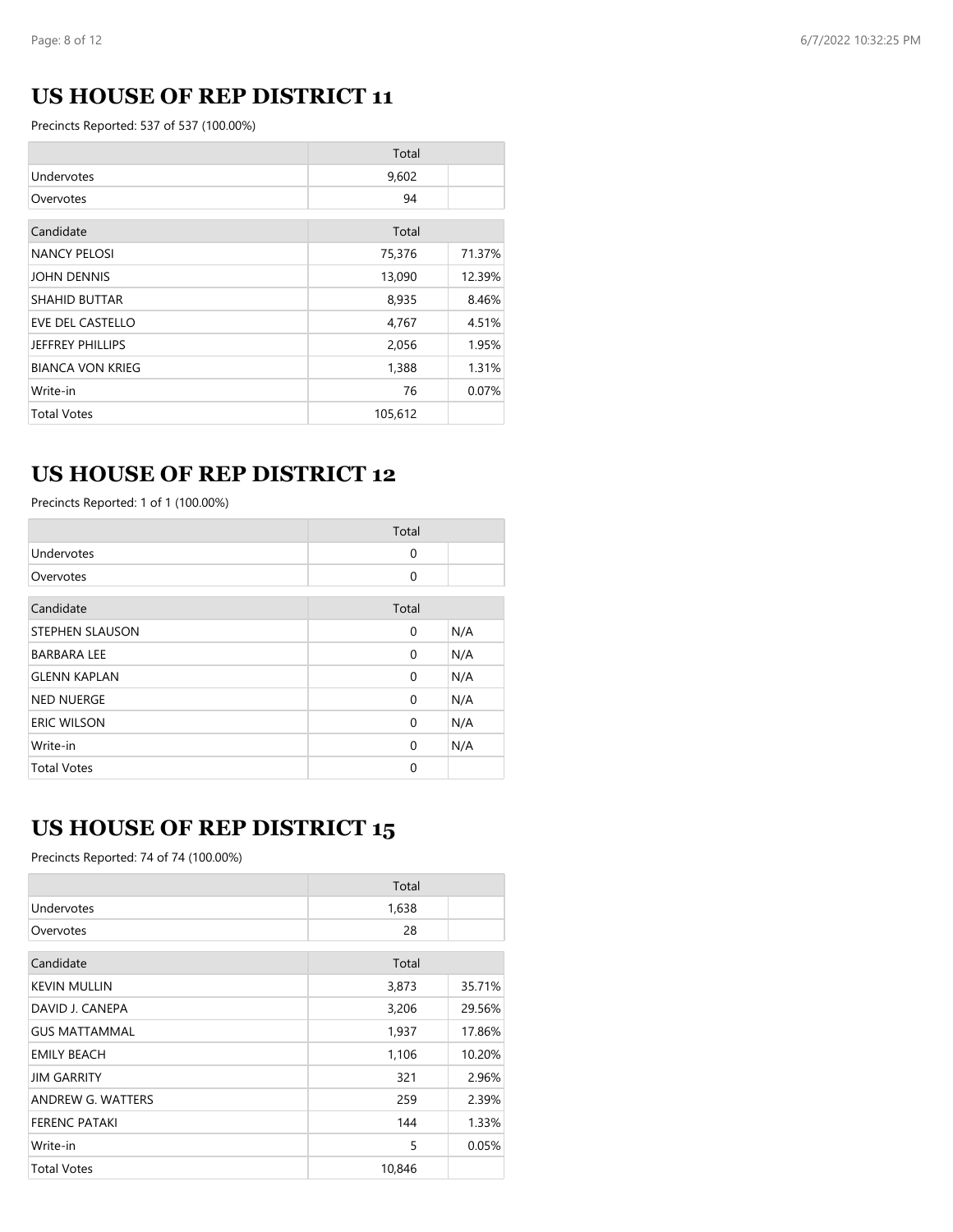# **US HOUSE OF REP DISTRICT 11**

Precincts Reported: 537 of 537 (100.00%)

|                         | Total   |        |
|-------------------------|---------|--------|
| Undervotes              | 9,602   |        |
| Overvotes               | 94      |        |
| Candidate               | Total   |        |
| <b>NANCY PELOSI</b>     | 75,376  | 71.37% |
| <b>JOHN DENNIS</b>      | 13,090  | 12.39% |
| <b>SHAHID BUTTAR</b>    | 8,935   | 8.46%  |
| <b>EVE DEL CASTELLO</b> | 4,767   | 4.51%  |
| JEFFREY PHILLIPS        | 2,056   | 1.95%  |
| <b>BIANCA VON KRIEG</b> | 1,388   | 1.31%  |
| Write-in                | 76      | 0.07%  |
| <b>Total Votes</b>      | 105,612 |        |

### **US HOUSE OF REP DISTRICT 12**

Precincts Reported: 1 of 1 (100.00%)

|                        | Total    |     |
|------------------------|----------|-----|
| Undervotes             | 0        |     |
| Overvotes              | $\Omega$ |     |
| Candidate              | Total    |     |
| <b>STEPHEN SLAUSON</b> | 0        | N/A |
| <b>BARBARA LEE</b>     | 0        | N/A |
| <b>GLENN KAPLAN</b>    | 0        | N/A |
| <b>NED NUERGE</b>      | 0        | N/A |
| <b>ERIC WILSON</b>     | 0        | N/A |
| Write-in               | $\Omega$ | N/A |
| <b>Total Votes</b>     | 0        |     |

### **US HOUSE OF REP DISTRICT 15**

Precincts Reported: 74 of 74 (100.00%)

|                      | Total  |        |
|----------------------|--------|--------|
| Undervotes           | 1,638  |        |
| Overvotes            | 28     |        |
| Candidate            | Total  |        |
| <b>KEVIN MULLIN</b>  | 3,873  | 35.71% |
| DAVID J. CANEPA      | 3,206  | 29.56% |
| <b>GUS MATTAMMAL</b> | 1,937  | 17.86% |
| <b>EMILY BEACH</b>   | 1,106  | 10.20% |
| <b>JIM GARRITY</b>   | 321    | 2.96%  |
| ANDREW G. WATTERS    | 259    | 2.39%  |
| <b>FERENC PATAKI</b> | 144    | 1.33%  |
| Write-in             | 5      | 0.05%  |
| <b>Total Votes</b>   | 10,846 |        |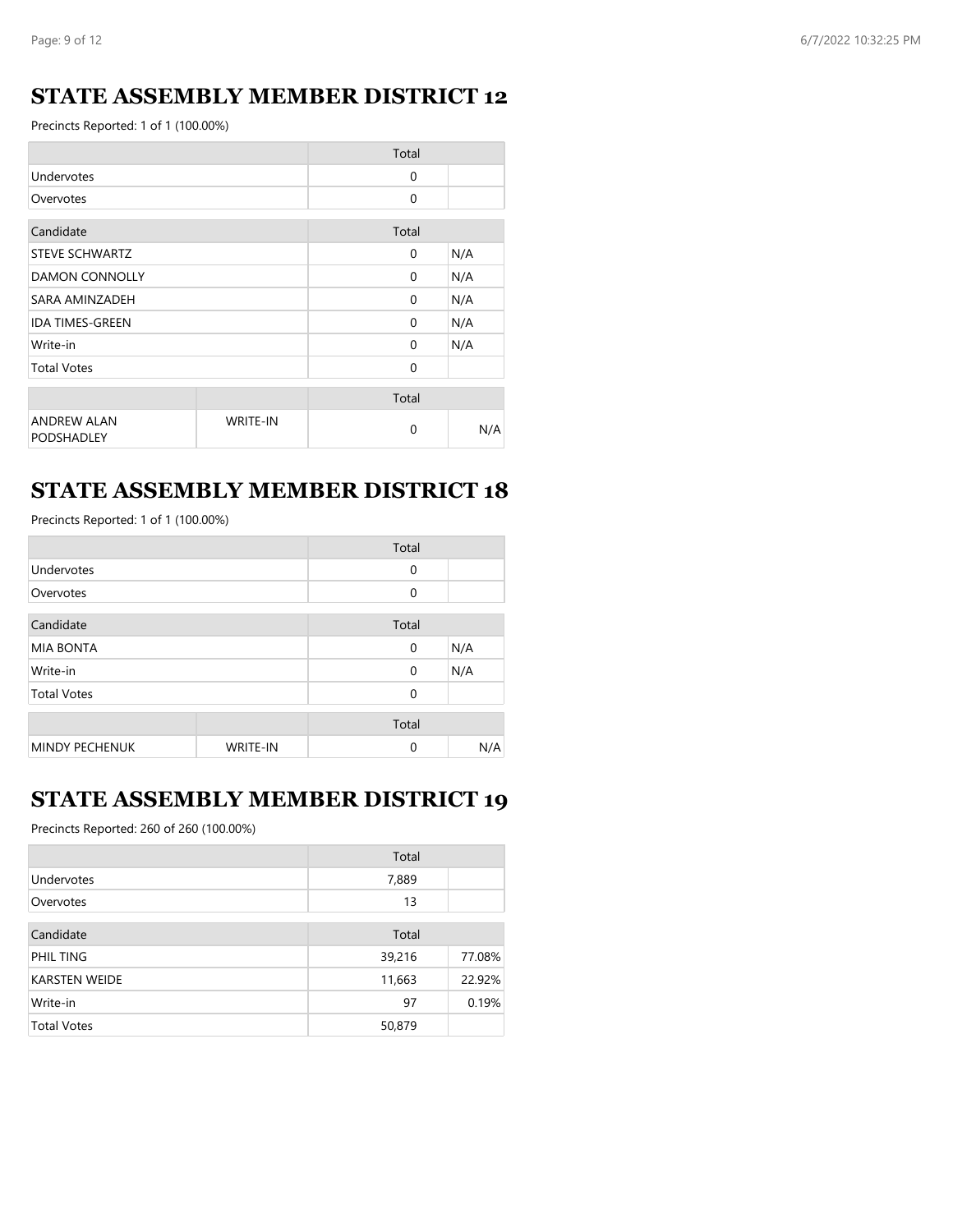### **STATE ASSEMBLY MEMBER DISTRICT 12**

Precincts Reported: 1 of 1 (100.00%)

|                                         |                 | Total    |     |
|-----------------------------------------|-----------------|----------|-----|
| Undervotes                              |                 | $\Omega$ |     |
| Overvotes                               |                 | 0        |     |
| Candidate                               |                 | Total    |     |
| <b>STEVE SCHWARTZ</b>                   |                 | $\Omega$ | N/A |
| <b>DAMON CONNOLLY</b>                   |                 | $\Omega$ | N/A |
| SARA AMINZADEH                          |                 | 0        | N/A |
| <b>IDA TIMES-GREEN</b>                  |                 | $\Omega$ | N/A |
| Write-in                                |                 | 0        | N/A |
| <b>Total Votes</b>                      |                 | 0        |     |
|                                         |                 | Total    |     |
| <b>ANDREW ALAN</b><br><b>PODSHADLEY</b> | <b>WRITE-IN</b> | 0        | N/A |

#### **STATE ASSEMBLY MEMBER DISTRICT 18**

Precincts Reported: 1 of 1 (100.00%)

|                       |                 | Total       |     |
|-----------------------|-----------------|-------------|-----|
| Undervotes            |                 | $\mathbf 0$ |     |
| Overvotes             |                 | $\Omega$    |     |
| Candidate             |                 | Total       |     |
| <b>MIA BONTA</b>      |                 | $\mathbf 0$ | N/A |
| Write-in              |                 | $\mathbf 0$ | N/A |
| <b>Total Votes</b>    |                 | $\Omega$    |     |
|                       |                 | Total       |     |
| <b>MINDY PECHENUK</b> | <b>WRITE-IN</b> | $\Omega$    | N/A |

#### **STATE ASSEMBLY MEMBER DISTRICT 19**

Precincts Reported: 260 of 260 (100.00%)

|                      | Total  |        |
|----------------------|--------|--------|
| Undervotes           | 7,889  |        |
| Overvotes            | 13     |        |
| Candidate            | Total  |        |
| PHIL TING            | 39,216 | 77.08% |
| <b>KARSTEN WEIDE</b> | 11,663 | 22.92% |
| Write-in             | 97     | 0.19%  |
| <b>Total Votes</b>   | 50,879 |        |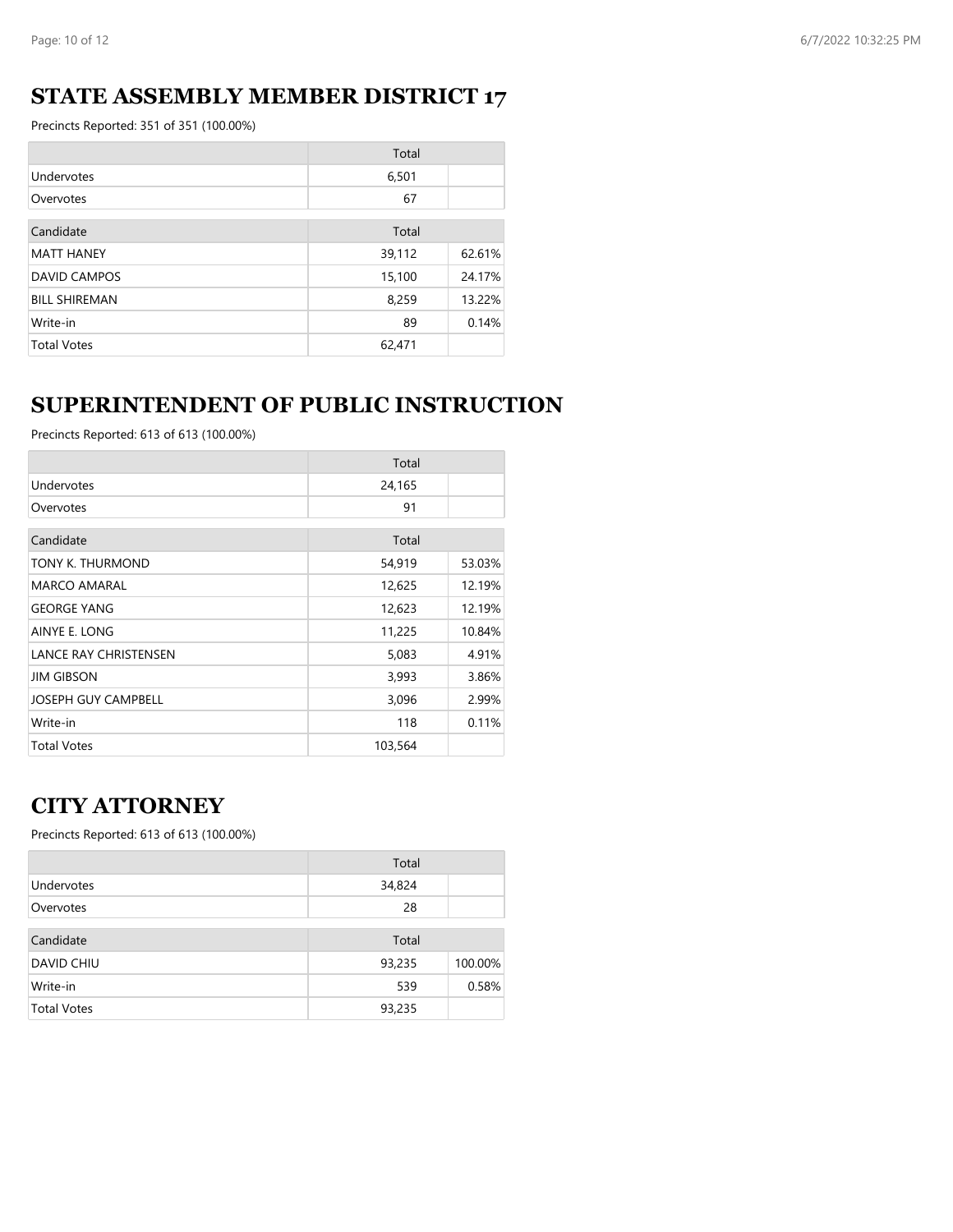### **STATE ASSEMBLY MEMBER DISTRICT 17**

Precincts Reported: 351 of 351 (100.00%)

|                      | Total  |        |
|----------------------|--------|--------|
| Undervotes           | 6,501  |        |
| Overvotes            | 67     |        |
|                      |        |        |
| Candidate            | Total  |        |
| <b>MATT HANEY</b>    | 39,112 | 62.61% |
| <b>DAVID CAMPOS</b>  | 15,100 | 24.17% |
| <b>BILL SHIREMAN</b> | 8,259  | 13.22% |
| Write-in             | 89     | 0.14%  |
| <b>Total Votes</b>   | 62,471 |        |

### **SUPERINTENDENT OF PUBLIC INSTRUCTION**

Precincts Reported: 613 of 613 (100.00%)

|                              | Total   |        |
|------------------------------|---------|--------|
| Undervotes                   | 24,165  |        |
| Overvotes                    | 91      |        |
| Candidate                    | Total   |        |
| TONY K. THURMOND             | 54,919  | 53.03% |
| <b>MARCO AMARAL</b>          | 12,625  | 12.19% |
| <b>GEORGE YANG</b>           | 12,623  | 12.19% |
| AINYE E. LONG                | 11,225  | 10.84% |
| <b>LANCE RAY CHRISTENSEN</b> | 5,083   | 4.91%  |
| <b>JIM GIBSON</b>            | 3,993   | 3.86%  |
| <b>JOSEPH GUY CAMPBELL</b>   | 3,096   | 2.99%  |
| Write-in                     | 118     | 0.11%  |
| <b>Total Votes</b>           | 103,564 |        |

### **CITY ATTORNEY**

|                    | Total  |         |
|--------------------|--------|---------|
| Undervotes         | 34,824 |         |
| Overvotes          | 28     |         |
| Candidate          | Total  |         |
| DAVID CHIU         | 93,235 | 100.00% |
| Write-in           | 539    | 0.58%   |
| <b>Total Votes</b> | 93,235 |         |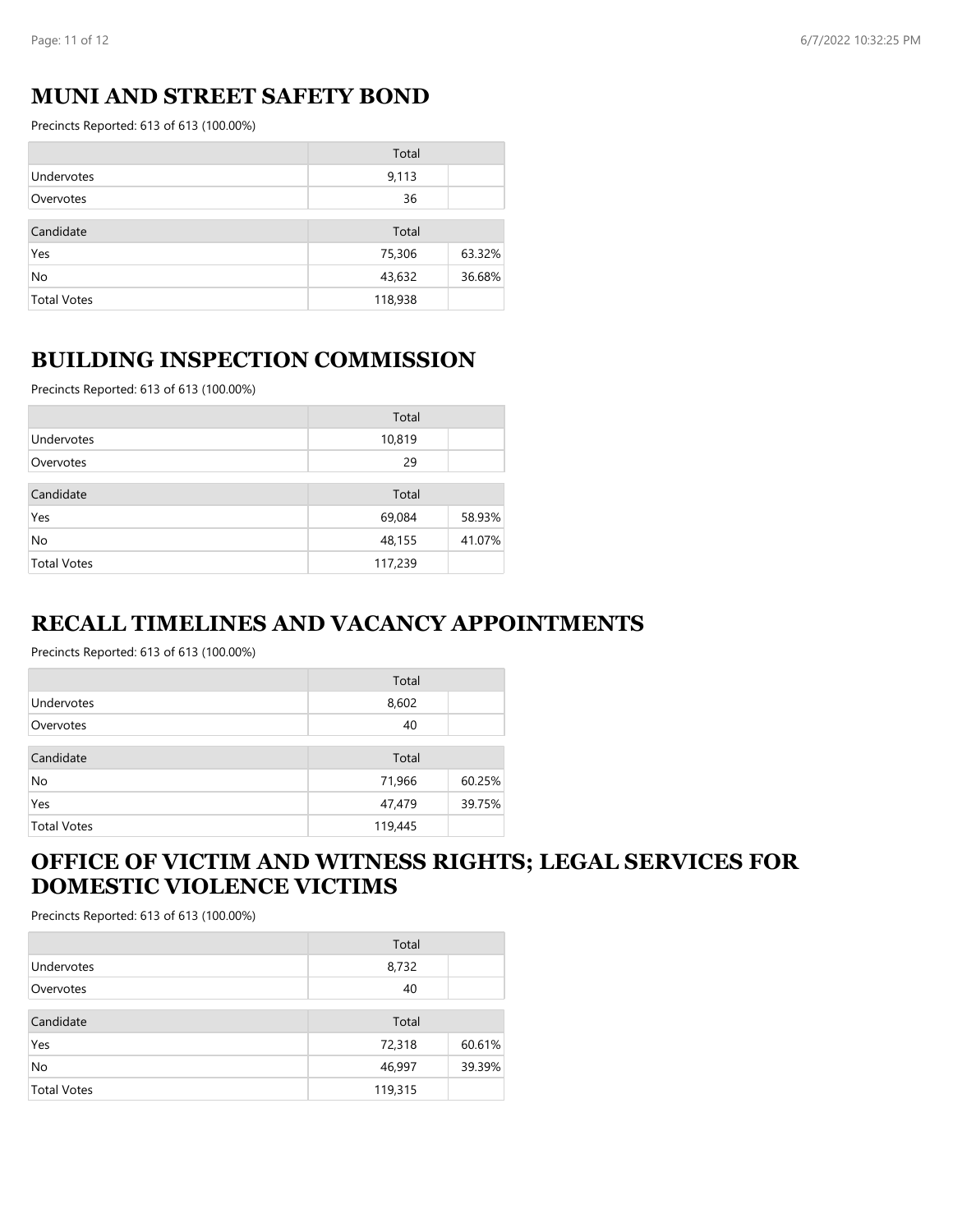#### **MUNI AND STREET SAFETY BOND**

Precincts Reported: 613 of 613 (100.00%)

|                    | Total   |        |
|--------------------|---------|--------|
| Undervotes         | 9,113   |        |
| Overvotes          | 36      |        |
| Candidate          | Total   |        |
| Yes                | 75,306  | 63.32% |
| No                 | 43,632  | 36.68% |
| <b>Total Votes</b> | 118,938 |        |

#### **BUILDING INSPECTION COMMISSION**

Precincts Reported: 613 of 613 (100.00%)

|                    | Total   |        |
|--------------------|---------|--------|
| Undervotes         | 10,819  |        |
| Overvotes          | 29      |        |
| Candidate          | Total   |        |
| Yes                | 69,084  | 58.93% |
| No                 | 48,155  | 41.07% |
| <b>Total Votes</b> | 117,239 |        |

#### **RECALL TIMELINES AND VACANCY APPOINTMENTS**

Precincts Reported: 613 of 613 (100.00%)

|                    | Total   |        |
|--------------------|---------|--------|
| Undervotes         | 8,602   |        |
| Overvotes          | 40      |        |
| Candidate          | Total   |        |
| No                 | 71,966  | 60.25% |
| Yes                | 47,479  | 39.75% |
| <b>Total Votes</b> | 119,445 |        |

### **OFFICE OF VICTIM AND WITNESS RIGHTS; LEGAL SERVICES FOR DOMESTIC VIOLENCE VICTIMS**

|                    | Total   |        |
|--------------------|---------|--------|
| Undervotes         | 8,732   |        |
| Overvotes          | 40      |        |
| Candidate          | Total   |        |
| Yes                | 72,318  | 60.61% |
| No                 | 46,997  | 39.39% |
| <b>Total Votes</b> | 119,315 |        |